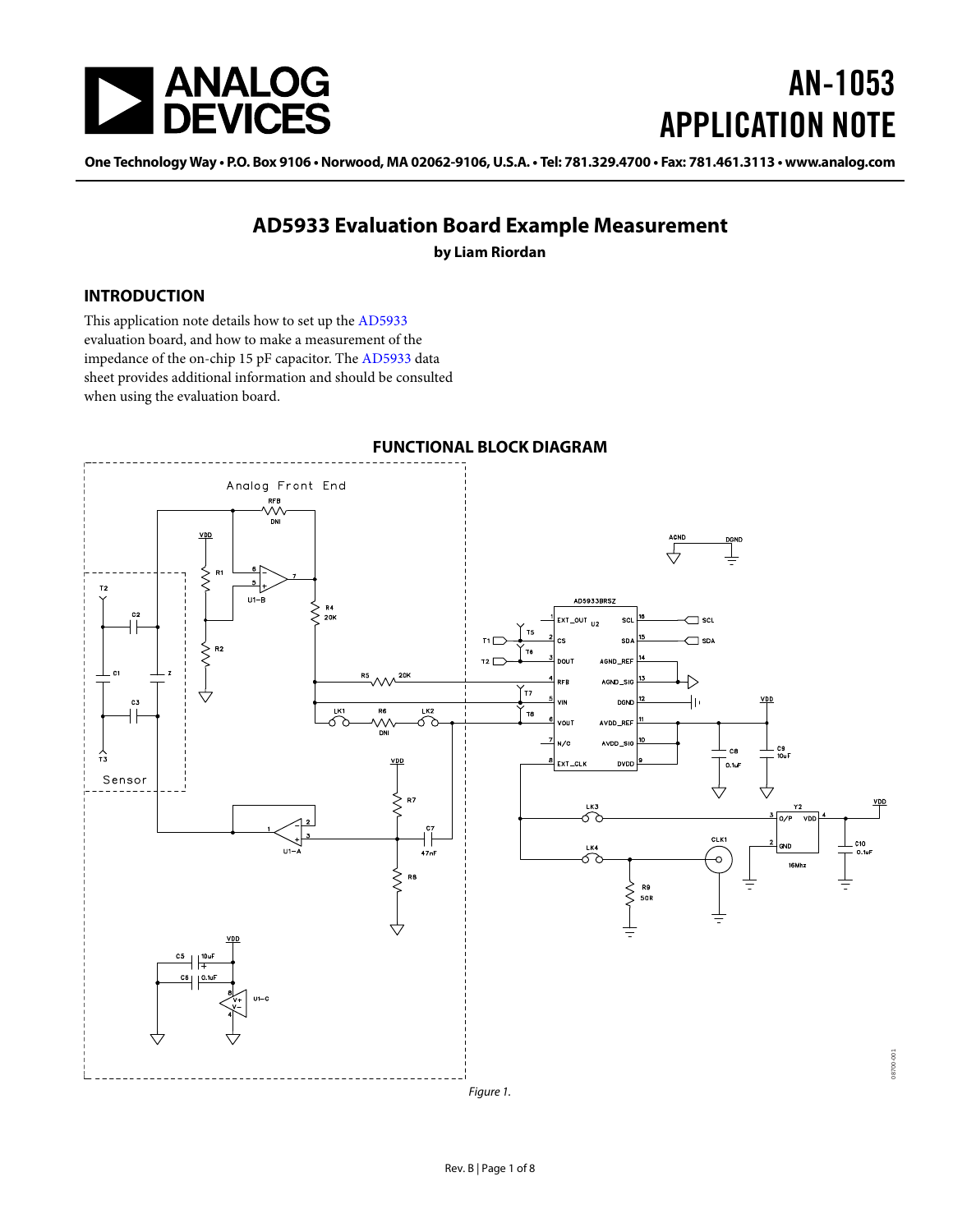

# AN-1053 APPLICATION NOTE

One Technology Way · P.O. Box 9106 · Norwood, MA 02062-9106, U.S.A. · Tel: 781.329.4700 · Fax: 781.461.3113 · www.analog.com

### **AD5933 Evaluation Board Example Measurement**

**by Liam Riordan**

#### <span id="page-0-0"></span>**INTRODUCTION**

This application note details how to set up the [AD5933](http://www.analog.com/AD5933) evaluation board, and how to make a measurement of the impedance of the on-chip 15 pF capacitor. Th[e AD5933](http://www.analog.com/AD5933) data sheet provides additional information and should be consulted when using the evaluation board.

<span id="page-0-1"></span>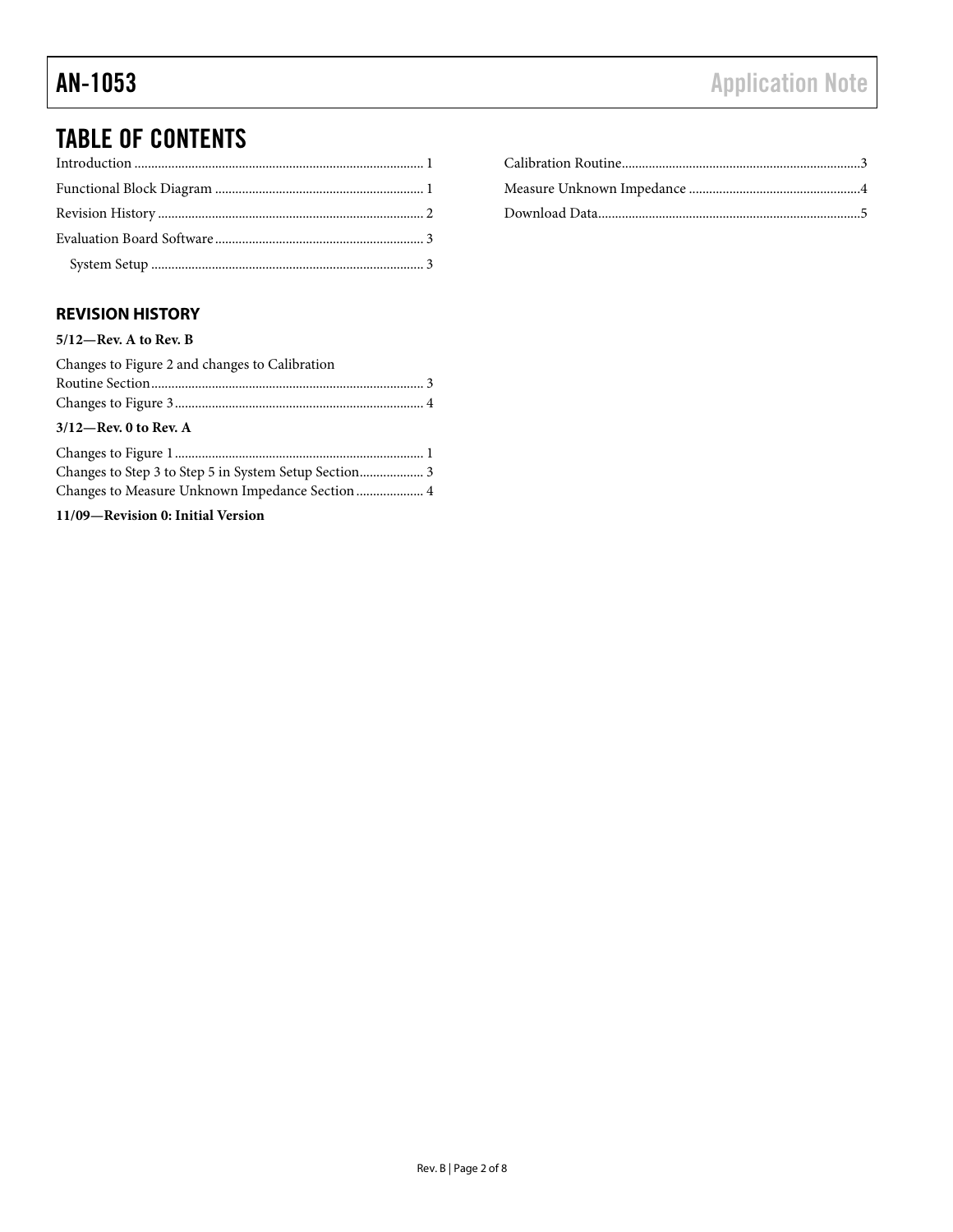## TABLE OF CONTENTS

### <span id="page-1-0"></span>**REVISION HISTORY**

#### **5/12—Rev. A to Rev. B**

| Changes to Figure 2 and changes to Calibration |  |
|------------------------------------------------|--|
|                                                |  |
|                                                |  |
| $3/12$ —Rev. 0 to Rev. A                       |  |
|                                                |  |
|                                                |  |
|                                                |  |
| 11/09-Revision 0: Initial Version              |  |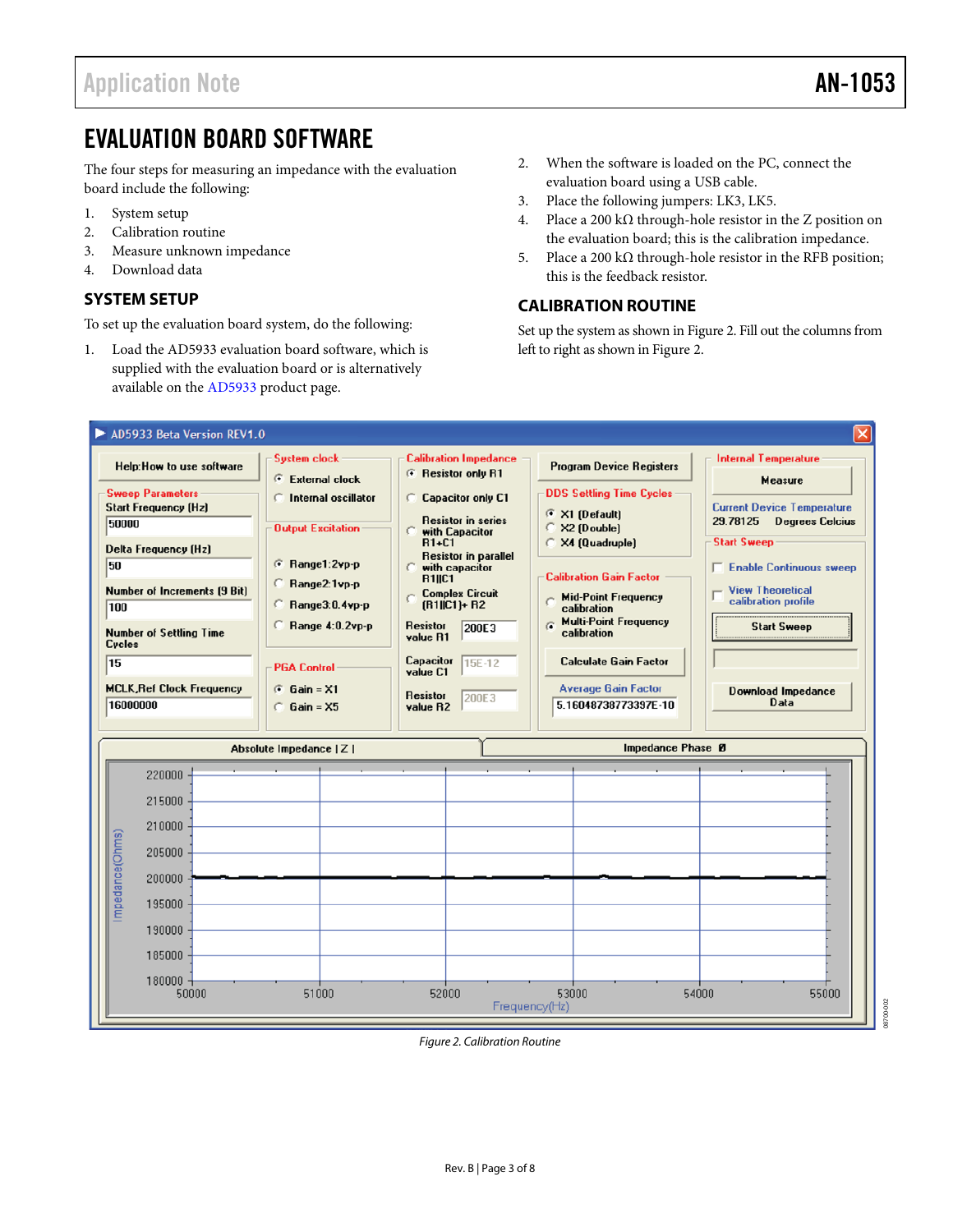### <span id="page-2-0"></span>EVALUATION BOARD SOFTWARE

The four steps for measuring an impedance with the evaluation board include the following:

- 1. System setup
- 2. Calibration routine
- 3. Measure unknown impedance
- 4. Download data

#### <span id="page-2-1"></span>**SYSTEM SETUP**

To set up the evaluation board system, do the following:

1. Load the AD5933 evaluation board software, which is supplied with the evaluation board or is alternatively available on the [AD5933](http://www.analog.com/AD5933) product page.

- 2. When the software is loaded on the PC, connect the evaluation board using a USB cable.
- 3. Place the following jumpers: LK3, LK5.
- 4. Place a 200 kΩ through-hole resistor in the Z position on the evaluation board; this is the calibration impedance.
- 5. Place a 200 kΩ through-hole resistor in the RFB position; this is the feedback resistor.

#### <span id="page-2-2"></span>**CALIBRATION ROUTINE**

Set up the system as shown in [Figure 2.](#page-2-4) Fill out the columns from left to right as shown i[n Figure 2.](#page-2-4)



<span id="page-2-4"></span><span id="page-2-3"></span>*Figure 2. Calibration Routine*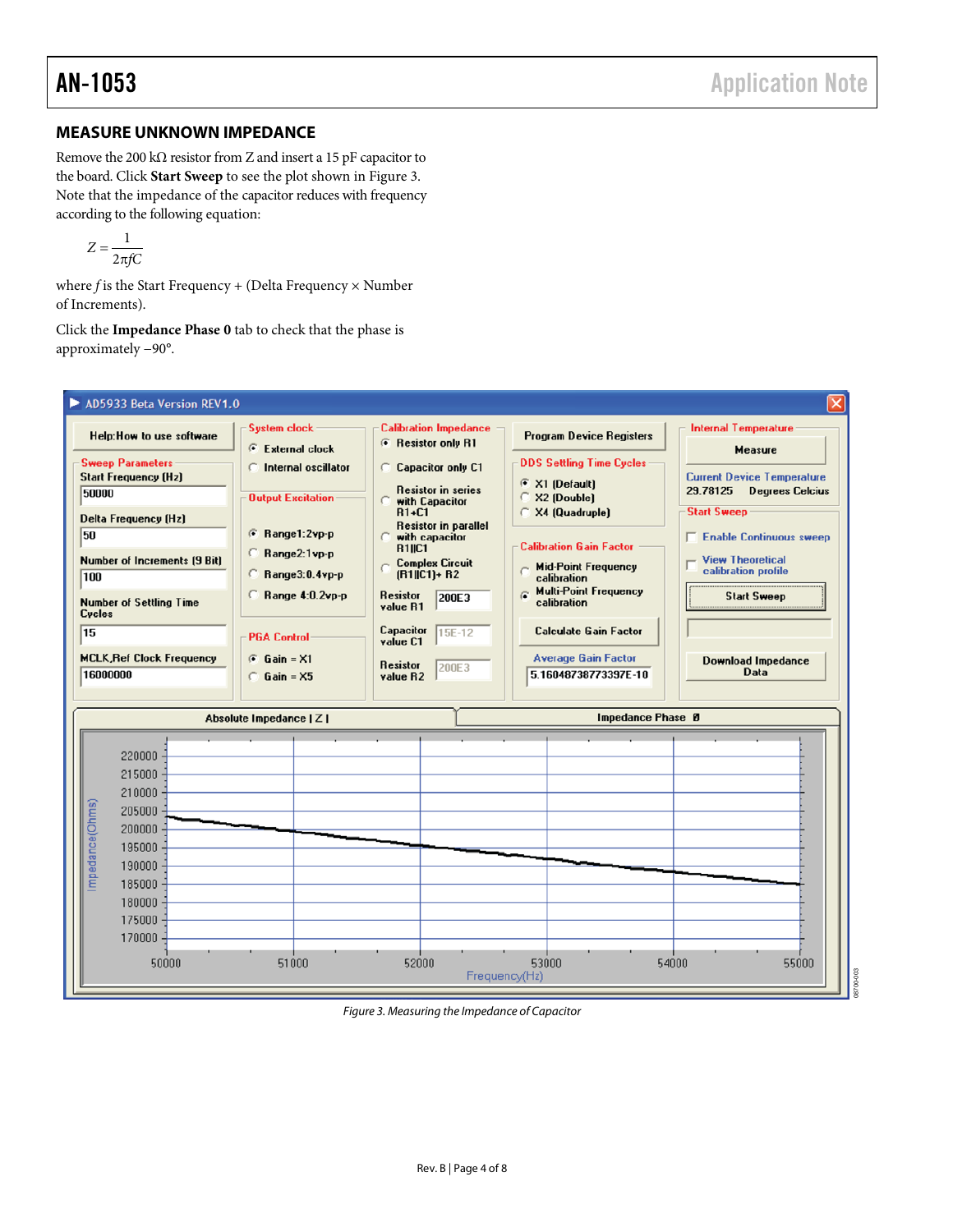#### **MEASURE UNKNOWN IMPEDANCE**

Remove the 200 k $\Omega$  resistor from Z and insert a 15 pF capacitor to the board. Click **Start Sweep** to see the plot shown i[n Figure 3.](#page-3-0)  Note that the impedance of the capacitor reduces with frequency according to the following equation:

$$
Z = \frac{1}{2\pi fC}
$$

where *f* is the Start Frequency + (Delta Frequency × Number of Increments).

Click the **Impedance Phase 0** tab to check that the phase is approximately −90°.

<span id="page-3-0"></span>

*Figure 3. Measuring the Impedance of Capacitor*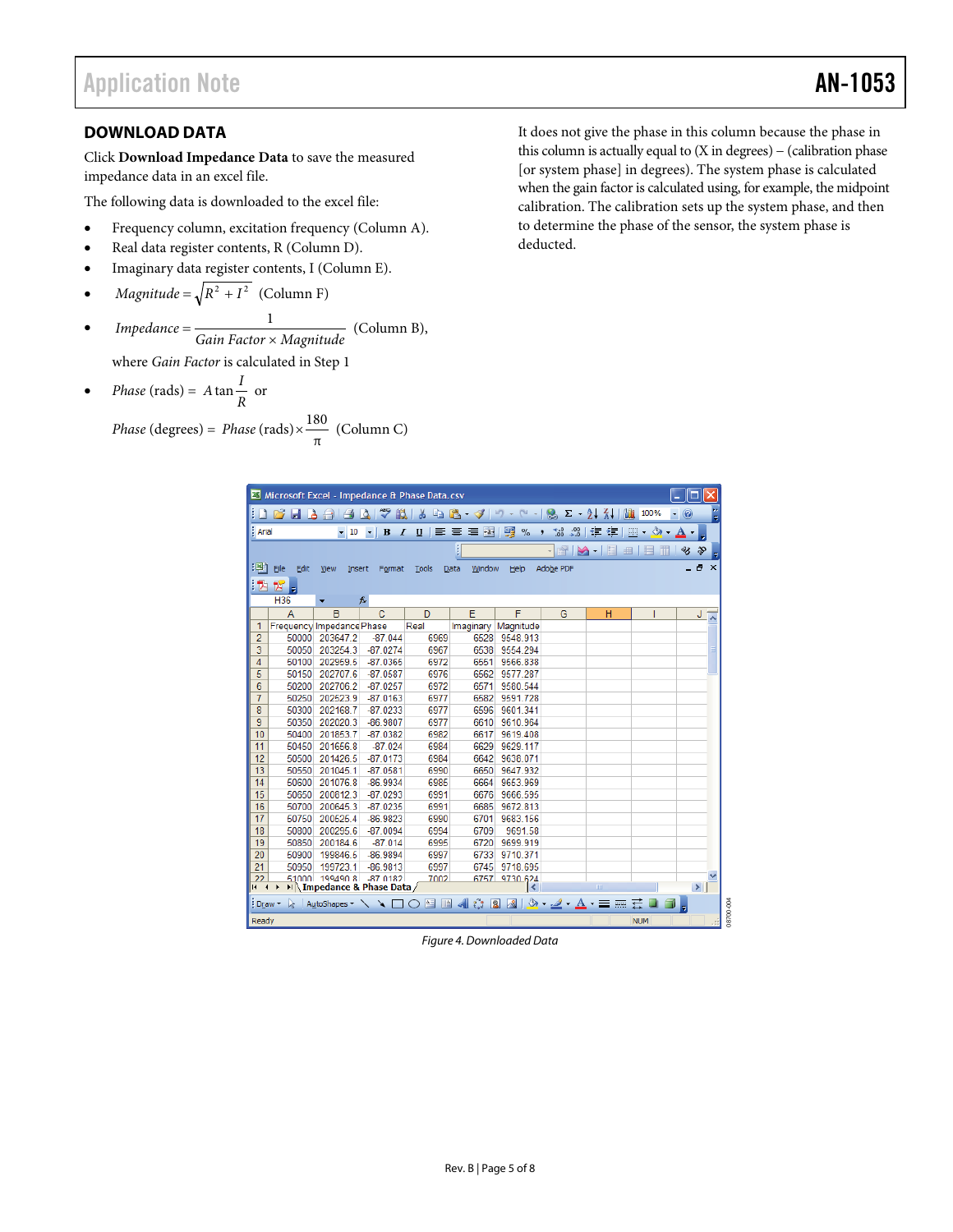#### <span id="page-4-0"></span>**DOWNLOAD DATA**

Click **Download Impedance Data** to save the measured impedance data in an excel file.

The following data is downloaded to the excel file:

- Frequency column, excitation frequency (Column A).
- Real data register contents, R (Column D).
- Imaginary data register contents, I (Column E).
- *Magnitude* =  $\sqrt{R^2 + I^2}$  (Column F)
- $Impedance = \frac{1}{Gain Factor \times Magnitude}$  (Column B), where *Gain Factor* is calculated in Step 1
- *Phase* (rads) =  $A \tan \frac{I}{R}$  or

$$
Phase (degrees) = Phase (rads) \times \frac{180}{\pi} (Column C)
$$

It does not give the phase in this column because the phase in this column is actually equal to  $(X \in \mathbb{R})$  – (calibration phase [or system phase] in degrees). The system phase is calculated when the gain factor is calculated using, for example, the midpoint calibration. The calibration sets up the system phase, and then to determine the phase of the sensor, the system phase is deducted.

| Microsoft Excel - Impedance & Phase Data.csv                                                                                                  |                                                                                                                                              |                           |                            |              |                  |                          |                                      |                                           |                         |                         |
|-----------------------------------------------------------------------------------------------------------------------------------------------|----------------------------------------------------------------------------------------------------------------------------------------------|---------------------------|----------------------------|--------------|------------------|--------------------------|--------------------------------------|-------------------------------------------|-------------------------|-------------------------|
|                                                                                                                                               | $\frac{Z}{A}$<br>$\frac{A}{Z}$<br>ы<br>戯<br>¥<br>自己・プ<br>L.<br>0<br>$ \sim$ $\sim$<br>$\Sigma$ -<br>100%<br>Là.<br>in.<br>d<br>a<br>Iĝ.<br>Ψ |                           |                            |              |                  |                          |                                      |                                           |                         |                         |
| : Arial                                                                                                                                       |                                                                                                                                              | $-10$                     | $\bf{B}$<br>I              | 巨<br>U       | $-3.4$<br>喜<br>罩 | 19<br>$\frac{9}{6}$<br>, | $\frac{4}{100}$<br>$\frac{.00}{.00}$ | 钜<br>譚                                    | $\mathcal{S}_{\lambda}$ |                         |
|                                                                                                                                               |                                                                                                                                              |                           |                            |              |                  |                          |                                      |                                           |                         |                         |
|                                                                                                                                               |                                                                                                                                              |                           |                            |              |                  |                          |                                      | $rac{9}{20}$<br>曲<br>$\blacktriangledown$ |                         | స్లు<br>℁               |
| :[38]<br>Ð<br>$\mathsf{x}$<br>Adobe PDF<br>Eile<br>Edit<br>View<br>Window<br>Help<br>Insert<br>Format<br>Tools<br>Data                        |                                                                                                                                              |                           |                            |              |                  |                          |                                      |                                           |                         |                         |
| i Ta<br>宮<br>l۳                                                                                                                               |                                                                                                                                              |                           |                            |              |                  |                          |                                      |                                           |                         |                         |
|                                                                                                                                               | H36                                                                                                                                          |                           | $f_x$                      |              |                  |                          |                                      |                                           |                         |                         |
|                                                                                                                                               | A                                                                                                                                            | B                         | $\mathbf{C}$               | D            | E                | F                        | G                                    | н                                         |                         | J                       |
| 1                                                                                                                                             |                                                                                                                                              | Frequency Impedance Phase |                            | Real         | Imaginary        | Magnitude                |                                      |                                           |                         | $\overline{\mathbf{v}}$ |
| $\overline{2}$                                                                                                                                | 50000                                                                                                                                        | 203647.2                  | $-87.044$                  | 6969         | 6528             | 9548.913                 |                                      |                                           |                         |                         |
| $\overline{3}$                                                                                                                                | 50050                                                                                                                                        | 203254.3                  | $-87.0274$                 | 6967         | 6538             | 9554.294                 |                                      |                                           |                         |                         |
| 4                                                                                                                                             | 50100                                                                                                                                        | 202959.5                  | $-87.0365$                 | 6972         | 6551             | 9566.838                 |                                      |                                           |                         |                         |
| 5                                                                                                                                             | 50150                                                                                                                                        | 202707.6                  | $-87.0587$                 | 6976         | 6562             | 9577.287                 |                                      |                                           |                         |                         |
| 6                                                                                                                                             | 50200                                                                                                                                        | 202706.2                  | $-87.0257$                 | 6972         | 6571             | 9580.544                 |                                      |                                           |                         |                         |
| $\overline{7}$                                                                                                                                | 50250                                                                                                                                        | 202523.9                  | $-87.0163$                 | 6977         | 6582             | 9591.728                 |                                      |                                           |                         |                         |
| 8                                                                                                                                             | 50300                                                                                                                                        | 202168.7                  | $-87.0233$                 | 6977         | 6596             | 9601.341                 |                                      |                                           |                         |                         |
| 9                                                                                                                                             | 50350                                                                                                                                        | 202020.3                  | $-86.9807$                 | 6977         | 6610             | 9610.964                 |                                      |                                           |                         |                         |
| 10                                                                                                                                            | 50400                                                                                                                                        | 201853.7                  | $-87.0382$                 | 6982         | 6617             | 9619.408                 |                                      |                                           |                         |                         |
| 11                                                                                                                                            | 50450                                                                                                                                        | 201656.8                  | $-87.024$                  | 6984         | 6629             | 9629.117                 |                                      |                                           |                         |                         |
| 12                                                                                                                                            | 50500                                                                                                                                        | 201426.5                  | $-87.0173$                 | 6984         | 6642             | 9638.071                 |                                      |                                           |                         |                         |
| 13                                                                                                                                            | 50550                                                                                                                                        | 201045.1                  | $-87.0581$                 | 6990         | 6650             | 9647.932                 |                                      |                                           |                         |                         |
| 14                                                                                                                                            | 50600                                                                                                                                        | 201076.8                  | $-86.9934$                 | 6985         | 6664             | 9653.969                 |                                      |                                           |                         |                         |
| 15                                                                                                                                            | 50650                                                                                                                                        | 200812.3                  | $-87.0293$                 | 6991         | 6676             | 9666.595                 |                                      |                                           |                         |                         |
| 16<br>17                                                                                                                                      | 50700<br>50750                                                                                                                               | 200645.3<br>200525.4      | $-87.0235$<br>$-86.9823$   | 6991<br>6990 | 6685<br>6701     | 9672.813<br>9683.156     |                                      |                                           |                         |                         |
| 18                                                                                                                                            | 50800                                                                                                                                        | 200295.6                  | $-87.0094$                 | 6994         | 6709             | 9691.58                  |                                      |                                           |                         |                         |
| 19                                                                                                                                            | 50850                                                                                                                                        | 200184.6                  | $-87.014$                  | 6995         | 6720             | 9699.919                 |                                      |                                           |                         |                         |
| 20                                                                                                                                            | 50900                                                                                                                                        | 199846.5                  | $-86.9894$                 | 6997         | 6733             | 9710.371                 |                                      |                                           |                         |                         |
| 21                                                                                                                                            | 50950                                                                                                                                        | 199723.1                  | $-86.9813$                 | 6997         | 6745             | 9718.695                 |                                      |                                           |                         |                         |
| 22                                                                                                                                            |                                                                                                                                              | 51000 199490 8            | $-870182$                  | 7002         | 6757             | 9730.624                 |                                      |                                           |                         |                         |
| 14 + 4                                                                                                                                        |                                                                                                                                              |                           | M Impedance & Phase Data / |              |                  | I۲                       |                                      | $\mathbf{m}$                              |                         | $\vert$                 |
| $\sqrt{2}$ $\sqrt{4}$<br>$A =$<br>$\Box$<br> 2 <br>$\mathbf{A}$ $\mathbf{C}$<br>굪<br>AutoShapes $\bullet$ $\bullet$ $\Box$ $\bigcirc$<br>Draw |                                                                                                                                              |                           |                            |              |                  |                          |                                      |                                           |                         |                         |
|                                                                                                                                               |                                                                                                                                              |                           |                            |              |                  |                          |                                      |                                           |                         |                         |
| Readv                                                                                                                                         |                                                                                                                                              |                           |                            |              |                  |                          |                                      |                                           | <b>NUM</b>              |                         |

*Figure 4. Downloaded Data*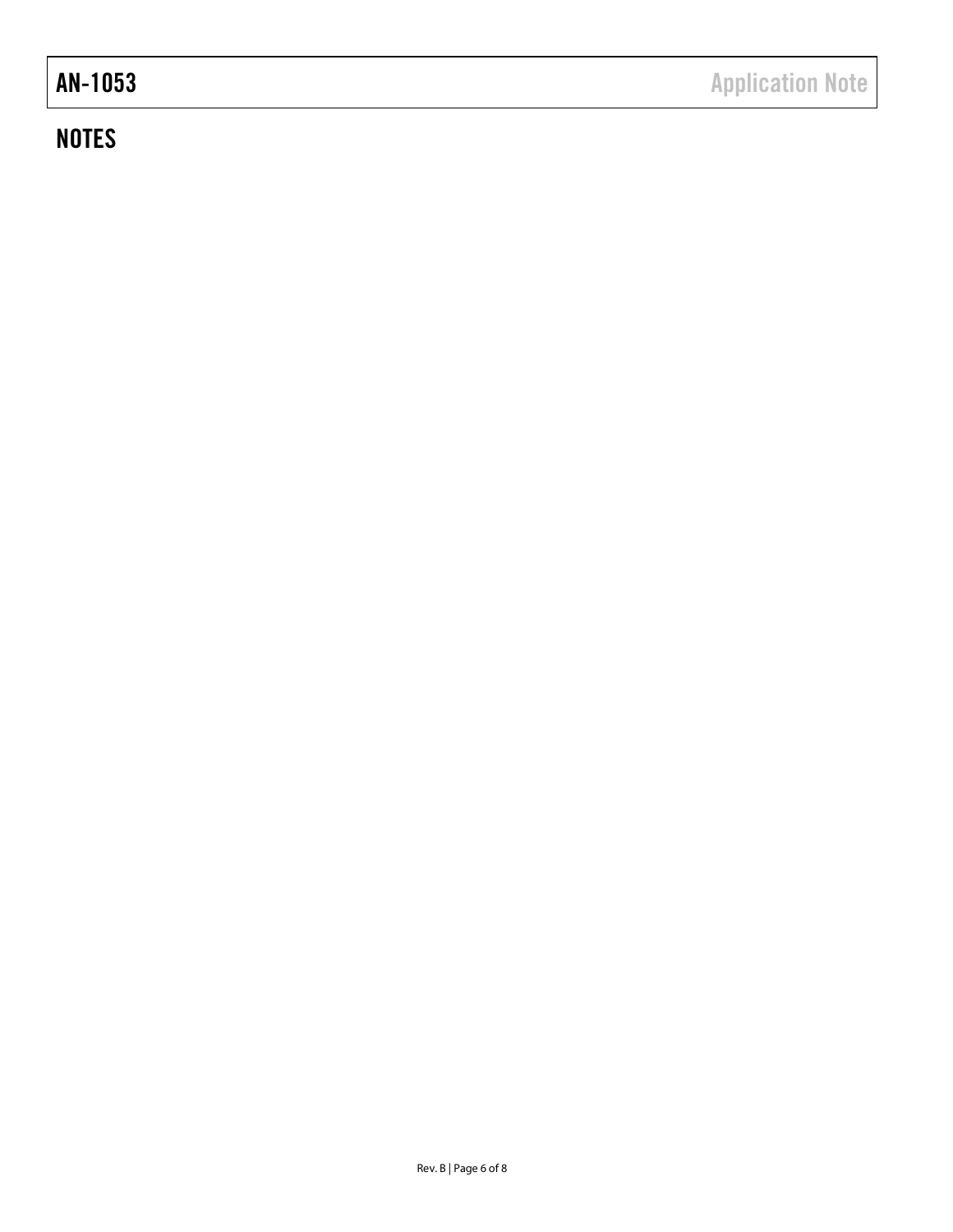## **NOTES**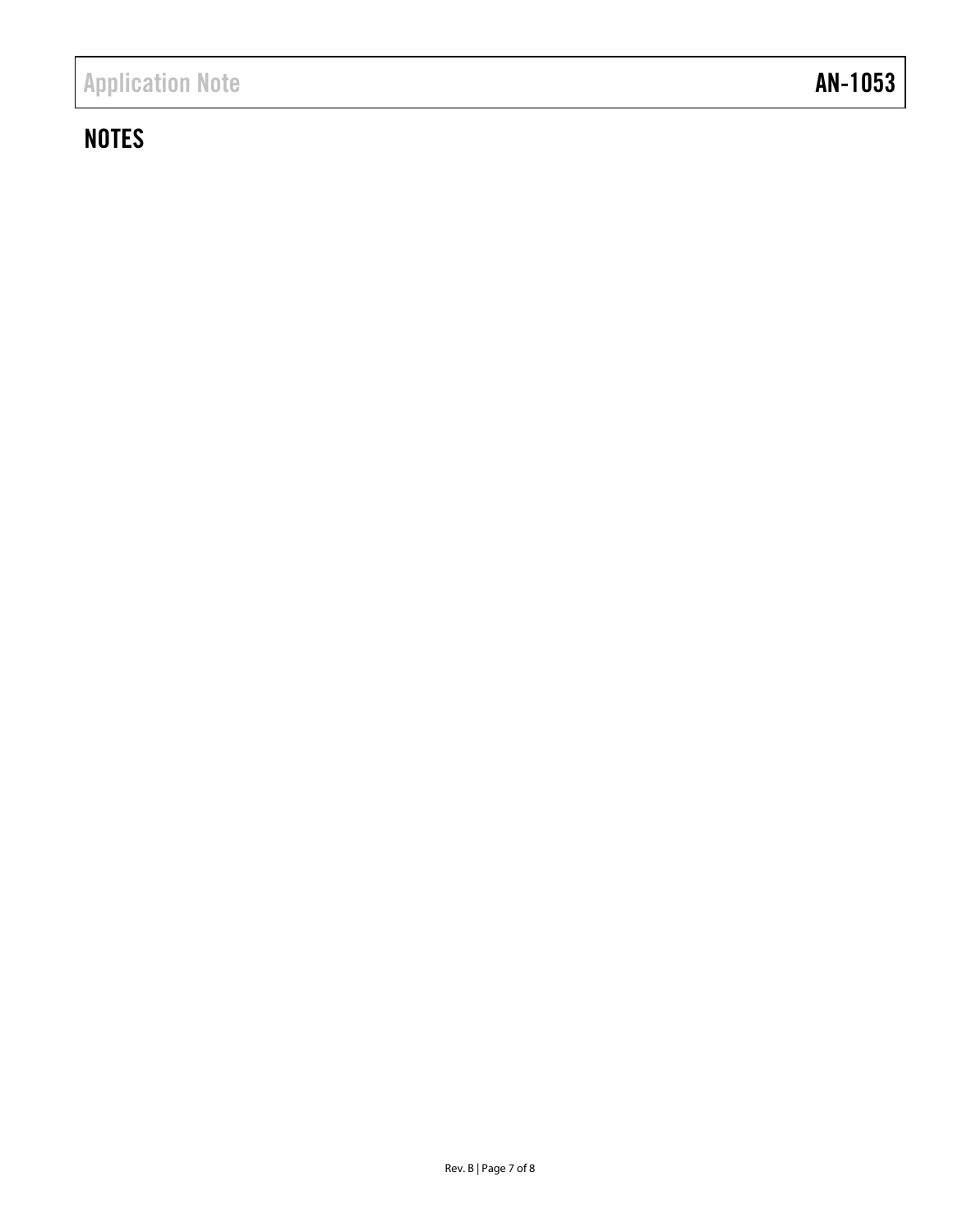## **NOTES**